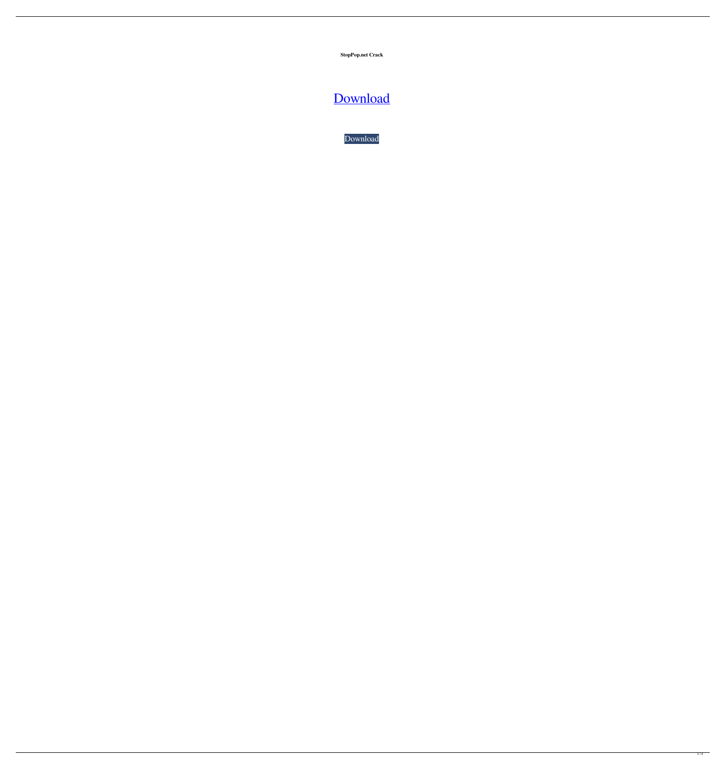**StopPop.net Crack**

[Download](http://evacdir.com/?/ZG93bmxvYWR8Ym05TXpnemJIeDhNVFkxTkRVeU1qRXhNSHg4TWpVM05IeDhLRTBwSUhKbFlXUXRZbXh2WnlCYlJtRnpkQ0JIUlU1ZA/agnihotry/herbart/dussmann/U3RvcFBvcC5uZXQU3R/aspirated)



 $1/4$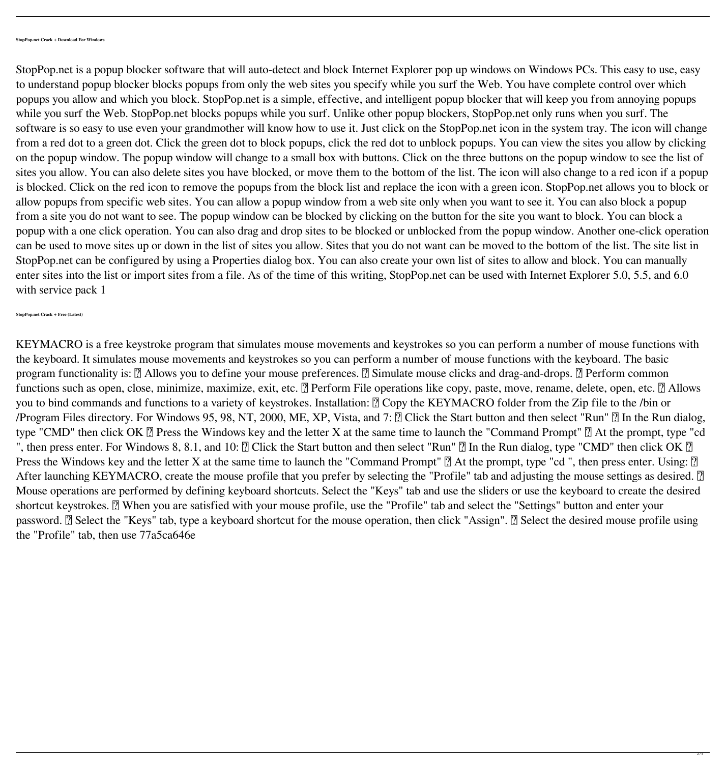StopPop.net is a popup blocker software that will auto-detect and block Internet Explorer pop up windows on Windows PCs. This easy to use, easy to understand popup blocker blocks popups from only the web sites you specify while you surf the Web. You have complete control over which popups you allow and which you block. StopPop.net is a simple, effective, and intelligent popup blocker that will keep you from annoying popups while you surf the Web. StopPop.net blocks popups while you surf. Unlike other popup blockers, StopPop.net only runs when you surf. The software is so easy to use even your grandmother will know how to use it. Just click on the StopPop.net icon in the system tray. The icon will change from a red dot to a green dot. Click the green dot to block popups, click the red dot to unblock popups. You can view the sites you allow by clicking on the popup window. The popup window will change to a small box with buttons. Click on the three buttons on the popup window to see the list of sites you allow. You can also delete sites you have blocked, or move them to the bottom of the list. The icon will also change to a red icon if a popup is blocked. Click on the red icon to remove the popups from the block list and replace the icon with a green icon. StopPop.net allows you to block or allow popups from specific web sites. You can allow a popup window from a web site only when you want to see it. You can also block a popup from a site you do not want to see. The popup window can be blocked by clicking on the button for the site you want to block. You can block a popup with a one click operation. You can also drag and drop sites to be blocked or unblocked from the popup window. Another one-click operation can be used to move sites up or down in the list of sites you allow. Sites that you do not want can be moved to the bottom of the list. The site list in StopPop.net can be configured by using a Properties dialog box. You can also create your own list of sites to allow and block. You can manually enter sites into the list or import sites from a file. As of the time of this writing, StopPop.net can be used with Internet Explorer 5.0, 5.5, and 6.0 with service pack 1

KEYMACRO is a free keystroke program that simulates mouse movements and keystrokes so you can perform a number of mouse functions with the keyboard. It simulates mouse movements and keystrokes so you can perform a number of mouse functions with the keyboard. The basic program functionality is:  $\mathbb{Z}$  Allows you to define your mouse preferences.  $\mathbb{Z}$  Simulate mouse clicks and drag-and-drops.  $\mathbb{Z}$  Perform common functions such as open, close, minimize, maximize, exit, etc. **?** Perform File operations like copy, paste, move, rename, delete, open, etc. **?** Allows you to bind commands and functions to a variety of keystrokes. Installation: **D** Copy the KEYMACRO folder from the Zip file to the /bin or /Program Files directory. For Windows 95, 98, NT, 2000, ME, XP, Vista, and 7: **D** Click the Start button and then select "Run" **D** In the Run dialog, type "CMD" then click OK  $\Omega$  Press the Windows key and the letter X at the same time to launch the "Command Prompt"  $\Omega$  At the prompt, type "cd ", then press enter. For Windows 8, 8.1, and 10:  $[$  Click the Start button and then select "Run"  $[$  In the Run dialog, type "CMD" then click OK  $[$ Press the Windows key and the letter X at the same time to launch the "Command Prompt"  $[$ ] At the prompt, type "cd ", then press enter. Using:  $[$ ] After launching KEYMACRO, create the mouse profile that you prefer by selecting the "Profile" tab and adjusting the mouse settings as desired. <sup>[7]</sup> Mouse operations are performed by defining keyboard shortcuts. Select the "Keys" tab and use the sliders or use the keyboard to create the desired shortcut keystrokes. **I** When you are satisfied with your mouse profile, use the "Profile" tab and select the "Settings" button and enter your password. **7** Select the "Keys" tab, type a keyboard shortcut for the mouse operation, then click "Assign". **7** Select the desired mouse profile using the "Profile" tab, then use 77a5ca646e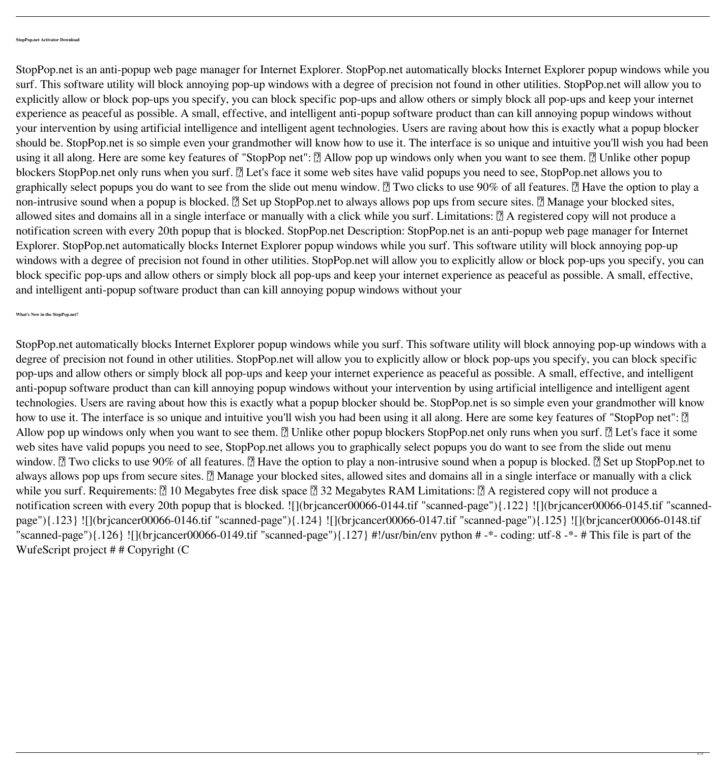StopPop.net is an anti-popup web page manager for Internet Explorer. StopPop.net automatically blocks Internet Explorer popup windows while you surf. This software utility will block annoying pop-up windows with a degree of precision not found in other utilities. StopPop.net will allow you to explicitly allow or block pop-ups you specify, you can block specific pop-ups and allow others or simply block all pop-ups and keep your internet experience as peaceful as possible. A small, effective, and intelligent anti-popup software product than can kill annoying popup windows without your intervention by using artificial intelligence and intelligent agent technologies. Users are raving about how this is exactly what a popup blocker should be. StopPop.net is so simple even your grandmother will know how to use it. The interface is so unique and intuitive you'll wish you had been using it all along. Here are some key features of "StopPop net":  $[$ ] Allow pop up windows only when you want to see them.  $[$ ] Unlike other popup blockers StopPop.net only runs when you surf. **I** Let's face it some web sites have valid popups you need to see, StopPop.net allows you to graphically select popups you do want to see from the slide out menu window. **7** Two clicks to use 90% of all features. **7** Have the option to play a non-intrusive sound when a popup is blocked.  $\Omega$  Set up StopPop.net to always allows pop ups from secure sites.  $\Omega$  Manage your blocked sites, allowed sites and domains all in a single interface or manually with a click while you surf. Limitations:  $[$  A registered copy will not produce a notification screen with every 20th popup that is blocked. StopPop.net Description: StopPop.net is an anti-popup web page manager for Internet Explorer. StopPop.net automatically blocks Internet Explorer popup windows while you surf. This software utility will block annoying pop-up windows with a degree of precision not found in other utilities. StopPop.net will allow you to explicitly allow or block pop-ups you specify, you can block specific pop-ups and allow others or simply block all pop-ups and keep your internet experience as peaceful as possible. A small, effective, and intelligent anti-popup software product than can kill annoying popup windows without your

StopPop.net automatically blocks Internet Explorer popup windows while you surf. This software utility will block annoying pop-up windows with a degree of precision not found in other utilities. StopPop.net will allow you to explicitly allow or block pop-ups you specify, you can block specific pop-ups and allow others or simply block all pop-ups and keep your internet experience as peaceful as possible. A small, effective, and intelligent anti-popup software product than can kill annoying popup windows without your intervention by using artificial intelligence and intelligent agent technologies. Users are raving about how this is exactly what a popup blocker should be. StopPop.net is so simple even your grandmother will know how to use it. The interface is so unique and intuitive you'll wish you had been using it all along. Here are some key features of "StopPop net": **?** Allow pop up windows only when you want to see them.  $[$  Unlike other popup blockers StopPop.net only runs when you surf.  $[$ ] Let's face it some web sites have valid popups you need to see, StopPop.net allows you to graphically select popups you do want to see from the slide out menu window.  $\sqrt{2}$  Two clicks to use 90% of all features.  $\sqrt{2}$  Have the option to play a non-intrusive sound when a popup is blocked.  $\sqrt{2}$  Set up StopPop.net to always allows pop ups from secure sites. **I** Manage your blocked sites, allowed sites and domains all in a single interface or manually with a click while you surf. Requirements:  $[$  10 Megabytes free disk space  $[$  32 Megabytes RAM Limitations:  $[$  A registered copy will not produce a notification screen with every 20th popup that is blocked. ![](brjcancer00066-0144.tif "scanned-page"){.122} ![](brjcancer00066-0145.tif "scannedpage"){.123} ![](brjcancer00066-0146.tif "scanned-page"){.124} ![](brjcancer00066-0147.tif "scanned-page"){.125} ![](brjcancer00066-0148.tif "scanned-page") $\{.126\}$ ![](brjcancer00066-0149.tif "scanned-page") $\{.127\}$ #!/usr/bin/env python # -\*- coding: utf-8 -\*- # This file is part of the WufeScript project # # Copyright (C

 $3/4$